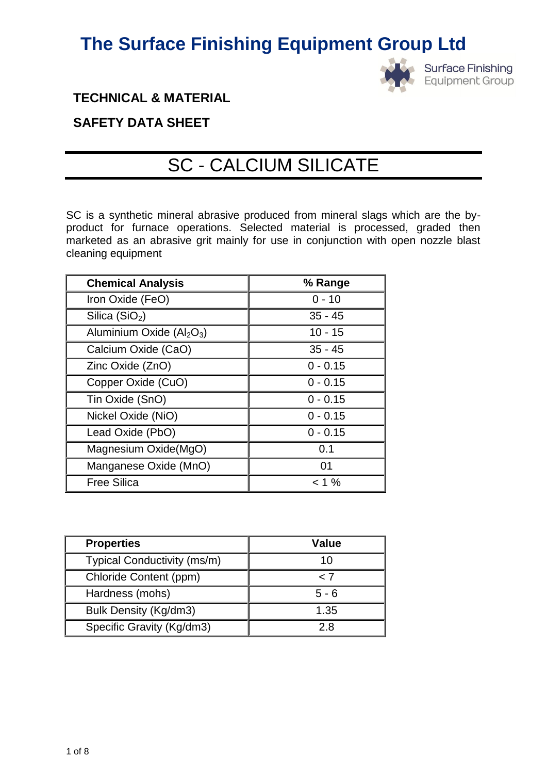

**TECHNICAL & MATERIAL** 

### **SAFETY DATA SHEET**

# SC - CALCIUM SILICATE

SC is a synthetic mineral abrasive produced from mineral slags which are the byproduct for furnace operations. Selected material is processed, graded then marketed as an abrasive grit mainly for use in conjunction with open nozzle blast cleaning equipment

| <b>Chemical Analysis</b>  | % Range    |
|---------------------------|------------|
| Iron Oxide (FeO)          | $0 - 10$   |
| Silica $(SiO2)$           | $35 - 45$  |
| Aluminium Oxide $(Al2O3)$ | $10 - 15$  |
| Calcium Oxide (CaO)       | $35 - 45$  |
| Zinc Oxide (ZnO)          | $0 - 0.15$ |
| Copper Oxide (CuO)        | $0 - 0.15$ |
| Tin Oxide (SnO)           | $0 - 0.15$ |
| Nickel Oxide (NiO)        | $0 - 0.15$ |
| Lead Oxide (PbO)          | $0 - 0.15$ |
| Magnesium Oxide(MgO)      | 0.1        |
| Manganese Oxide (MnO)     | 01         |
| <b>Free Silica</b>        | $< 1 \%$   |

| <b>Properties</b>           | <b>Value</b> |
|-----------------------------|--------------|
| Typical Conductivity (ms/m) | 10           |
| Chloride Content (ppm)      | < 7          |
| Hardness (mohs)             | $5 - 6$      |
| Bulk Density (Kg/dm3)       | 1.35         |
| Specific Gravity (Kg/dm3)   | 2 ጸ          |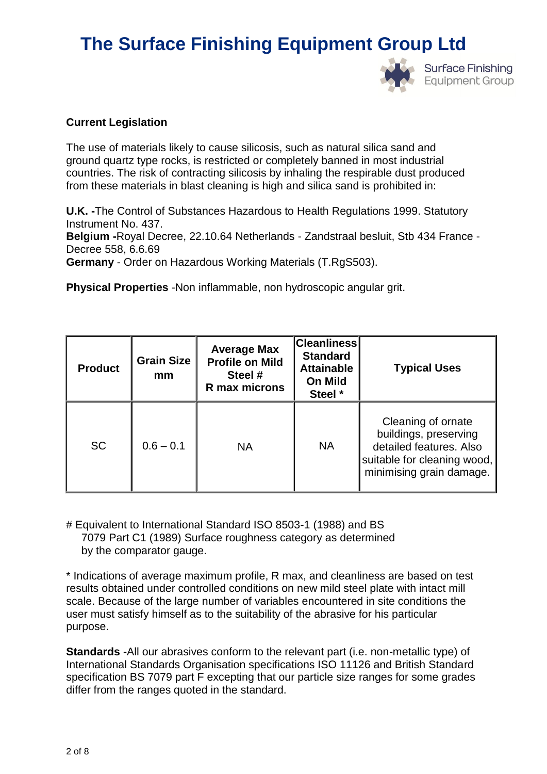

### **Current Legislation**

The use of materials likely to cause silicosis, such as natural silica sand and ground quartz type rocks, is restricted or completely banned in most industrial countries. The risk of contracting silicosis by inhaling the respirable dust produced from these materials in blast cleaning is high and silica sand is prohibited in:

**U.K. -**The Control of Substances Hazardous to Health Regulations 1999. Statutory Instrument No. 437.

**Belgium -**Royal Decree, 22.10.64 Netherlands - Zandstraal besluit, Stb 434 France - Decree 558, 6.6.69

**Germany** - Order on Hazardous Working Materials (T.RgS503).

**Physical Properties** -Non inflammable, non hydroscopic angular grit.

| <b>Product</b> | <b>Grain Size</b><br>mm | <b>Average Max</b><br><b>Profile on Mild</b><br>Steel #<br>R max microns | <b>Cleanliness</b><br><b>Standard</b><br><b>Attainable</b><br>On Mild<br>Steel * | <b>Typical Uses</b>                                                                                                               |
|----------------|-------------------------|--------------------------------------------------------------------------|----------------------------------------------------------------------------------|-----------------------------------------------------------------------------------------------------------------------------------|
| <b>SC</b>      | $0.6 - 0.1$             | <b>NA</b>                                                                | <b>NA</b>                                                                        | Cleaning of ornate<br>buildings, preserving<br>detailed features. Also<br>suitable for cleaning wood,<br>minimising grain damage. |

# Equivalent to International Standard ISO 8503-1 (1988) and BS 7079 Part C1 (1989) Surface roughness category as determined by the comparator gauge.

\* Indications of average maximum profile, R max, and cleanliness are based on test results obtained under controlled conditions on new mild steel plate with intact mill scale. Because of the large number of variables encountered in site conditions the user must satisfy himself as to the suitability of the abrasive for his particular purpose.

**Standards -**All our abrasives conform to the relevant part (i.e. non-metallic type) of International Standards Organisation specifications ISO 11126 and British Standard specification BS 7079 part F excepting that our particle size ranges for some grades differ from the ranges quoted in the standard.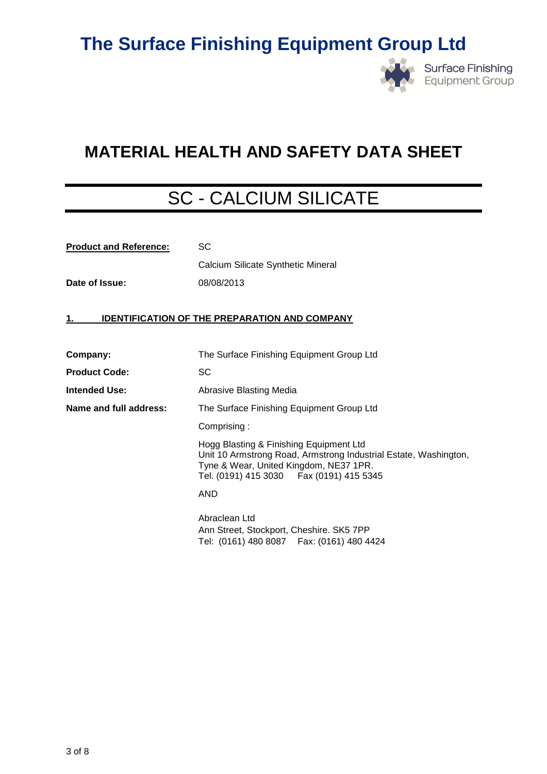

### **MATERIAL HEALTH AND SAFETY DATA SHEET**

# SC - CALCIUM SILICATE

| <b>Product and Reference:</b> | <b>SC</b>                                                                                                                                                                                           |  |  |
|-------------------------------|-----------------------------------------------------------------------------------------------------------------------------------------------------------------------------------------------------|--|--|
|                               | Calcium Silicate Synthetic Mineral                                                                                                                                                                  |  |  |
| Date of Issue:                | 08/08/2013                                                                                                                                                                                          |  |  |
|                               |                                                                                                                                                                                                     |  |  |
| 1.                            | <b>IDENTIFICATION OF THE PREPARATION AND COMPANY</b>                                                                                                                                                |  |  |
|                               |                                                                                                                                                                                                     |  |  |
| Company:                      | The Surface Finishing Equipment Group Ltd                                                                                                                                                           |  |  |
| <b>Product Code:</b>          | SC                                                                                                                                                                                                  |  |  |
| <b>Intended Use:</b>          | Abrasive Blasting Media                                                                                                                                                                             |  |  |
| Name and full address:        | The Surface Finishing Equipment Group Ltd                                                                                                                                                           |  |  |
|                               | Comprising:                                                                                                                                                                                         |  |  |
|                               | Hogg Blasting & Finishing Equipment Ltd<br>Unit 10 Armstrong Road, Armstrong Industrial Estate, Washington,<br>Tyne & Wear, United Kingdom, NE37 1PR.<br>Tel. (0191) 415 3030   Fax (0191) 415 5345 |  |  |
|                               | <b>AND</b>                                                                                                                                                                                          |  |  |
|                               | Abraclean Ltd<br>Ann Street, Stockport, Cheshire. SK5 7PP<br>Tel: (0161) 480 8087  Fax: (0161) 480 4424                                                                                             |  |  |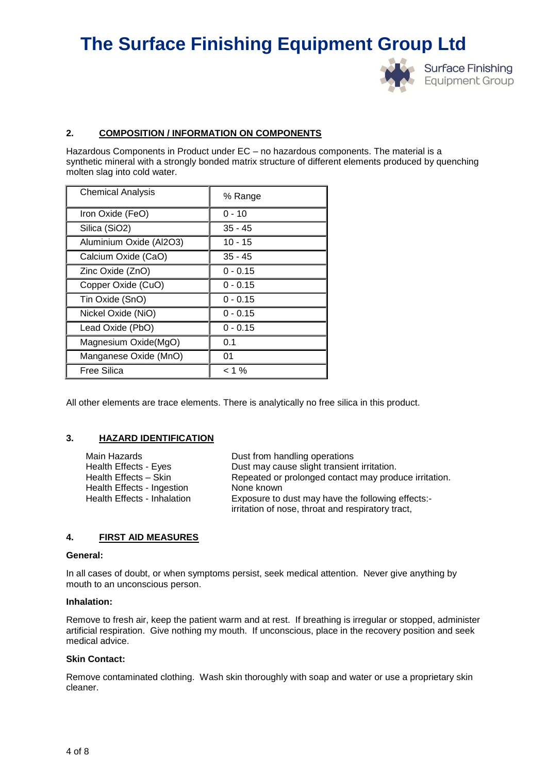

### **2. COMPOSITION / INFORMATION ON COMPONENTS**

Hazardous Components in Product under EC – no hazardous components. The material is a synthetic mineral with a strongly bonded matrix structure of different elements produced by quenching molten slag into cold water.

| <b>Chemical Analysis</b> | % Range    |
|--------------------------|------------|
| Iron Oxide (FeO)         | $0 - 10$   |
| Silica (SiO2)            | $35 - 45$  |
| Aluminium Oxide (Al2O3)  | $10 - 15$  |
| Calcium Oxide (CaO)      | $35 - 45$  |
| Zinc Oxide (ZnO)         | $0 - 0.15$ |
| Copper Oxide (CuO)       | $0 - 0.15$ |
| Tin Oxide (SnO)          | $0 - 0.15$ |
| Nickel Oxide (NiO)       | $0 - 0.15$ |
| Lead Oxide (PbO)         | $0 - 0.15$ |
| Magnesium Oxide(MgO)     | 0.1        |
| Manganese Oxide (MnO)    | 01         |
| Free Silica              | < 1 %      |

All other elements are trace elements. There is analytically no free silica in this product.

#### **3. HAZARD IDENTIFICATION**

| Main Hazards                | Dust from handling operations                         |
|-----------------------------|-------------------------------------------------------|
| Health Effects - Eyes       | Dust may cause slight transient irritation.           |
| Health Effects - Skin       | Repeated or prolonged contact may produce irritation. |
| Health Effects - Ingestion  | None known                                            |
| Health Effects - Inhalation | Exposure to dust may have the following effects:-     |
|                             | irritation of nose, throat and respiratory tract,     |

#### **4. FIRST AID MEASURES**

#### **General:**

In all cases of doubt, or when symptoms persist, seek medical attention. Never give anything by mouth to an unconscious person.

#### **Inhalation:**

Remove to fresh air, keep the patient warm and at rest. If breathing is irregular or stopped, administer artificial respiration. Give nothing my mouth. If unconscious, place in the recovery position and seek medical advice.

#### **Skin Contact:**

Remove contaminated clothing. Wash skin thoroughly with soap and water or use a proprietary skin cleaner.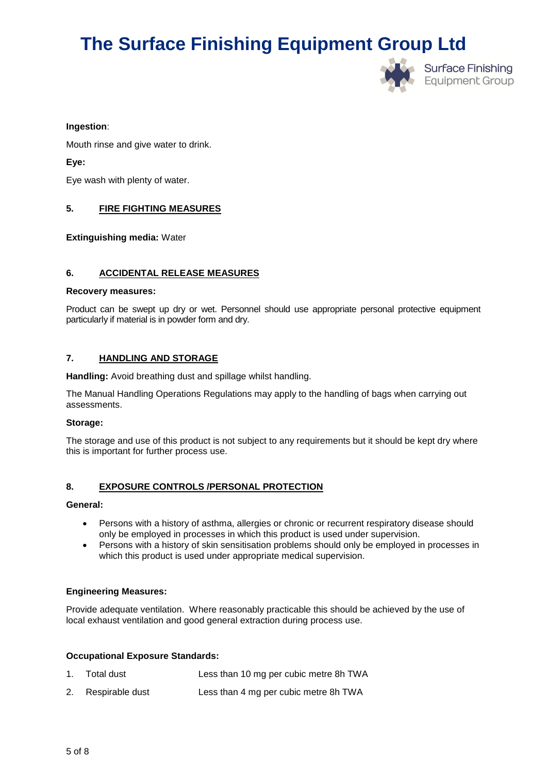

#### **Ingestion**:

Mouth rinse and give water to drink.

**Eye:**

Eye wash with plenty of water.

### **5. FIRE FIGHTING MEASURES**

**Extinguishing media:** Water

#### **6. ACCIDENTAL RELEASE MEASURES**

#### **Recovery measures:**

Product can be swept up dry or wet. Personnel should use appropriate personal protective equipment particularly if material is in powder form and dry.

### **7. HANDLING AND STORAGE**

**Handling:** Avoid breathing dust and spillage whilst handling.

The Manual Handling Operations Regulations may apply to the handling of bags when carrying out assessments.

#### **Storage:**

The storage and use of this product is not subject to any requirements but it should be kept dry where this is important for further process use.

#### **8. EXPOSURE CONTROLS /PERSONAL PROTECTION**

#### **General:**

- Persons with a history of asthma, allergies or chronic or recurrent respiratory disease should only be employed in processes in which this product is used under supervision.
- Persons with a history of skin sensitisation problems should only be employed in processes in which this product is used under appropriate medical supervision.

### **Engineering Measures:**

Provide adequate ventilation. Where reasonably practicable this should be achieved by the use of local exhaust ventilation and good general extraction during process use.

#### **Occupational Exposure Standards:**

| 1. Total dust      | Less than 10 mg per cubic metre 8h TWA |
|--------------------|----------------------------------------|
| 2. Respirable dust | Less than 4 mg per cubic metre 8h TWA  |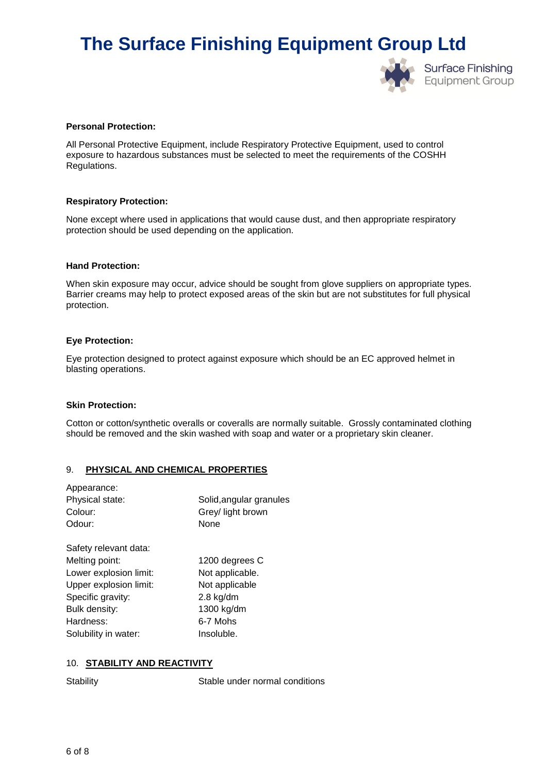

#### **Personal Protection:**

All Personal Protective Equipment, include Respiratory Protective Equipment, used to control exposure to hazardous substances must be selected to meet the requirements of the COSHH Regulations.

#### **Respiratory Protection:**

None except where used in applications that would cause dust, and then appropriate respiratory protection should be used depending on the application.

#### **Hand Protection:**

When skin exposure may occur, advice should be sought from glove suppliers on appropriate types. Barrier creams may help to protect exposed areas of the skin but are not substitutes for full physical protection.

#### **Eye Protection:**

Eye protection designed to protect against exposure which should be an EC approved helmet in blasting operations.

#### **Skin Protection:**

Cotton or cotton/synthetic overalls or coveralls are normally suitable. Grossly contaminated clothing should be removed and the skin washed with soap and water or a proprietary skin cleaner.

#### 9. **PHYSICAL AND CHEMICAL PROPERTIES**

| Appearance:            |                         |
|------------------------|-------------------------|
| Physical state:        | Solid, angular granules |
| Colour:                | Grey/ light brown       |
| Odour:                 | None                    |
| Safety relevant data:  |                         |
| Melting point:         | 1200 degrees C          |
| Lower explosion limit: | Not applicable.         |
| Upper explosion limit: | Not applicable          |
| Specific gravity:      | $2.8$ kg/dm             |
| Bulk density:          | 1300 kg/dm              |
| Hardness:              | 6-7 Mohs                |
| Solubility in water:   | Insoluble.              |
|                        |                         |

#### 10. **STABILITY AND REACTIVITY**

Stability Stable under normal conditions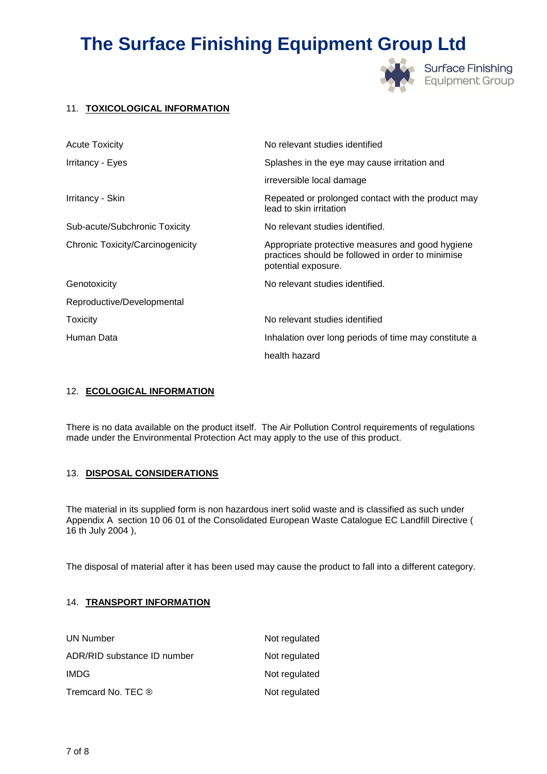

### 11. **TOXICOLOGICAL INFORMATION**

| <b>Acute Toxicity</b>            | No relevant studies identified                                                                                               |
|----------------------------------|------------------------------------------------------------------------------------------------------------------------------|
| Irritancy - Eyes                 | Splashes in the eye may cause irritation and                                                                                 |
|                                  | irreversible local damage                                                                                                    |
| Irritancy - Skin                 | Repeated or prolonged contact with the product may<br>lead to skin irritation                                                |
| Sub-acute/Subchronic Toxicity    | No relevant studies identified.                                                                                              |
| Chronic Toxicity/Carcinogenicity | Appropriate protective measures and good hygiene<br>practices should be followed in order to minimise<br>potential exposure. |
| Genotoxicity                     | No relevant studies identified.                                                                                              |
| Reproductive/Developmental       |                                                                                                                              |
| Toxicity                         | No relevant studies identified                                                                                               |
| Human Data                       | Inhalation over long periods of time may constitute a                                                                        |
|                                  | health hazard                                                                                                                |

#### 12. **ECOLOGICAL INFORMATION**

There is no data available on the product itself. The Air Pollution Control requirements of regulations made under the Environmental Protection Act may apply to the use of this product.

### 13. **DISPOSAL CONSIDERATIONS**

The material in its supplied form is non hazardous inert solid waste and is classified as such under Appendix A section 10 06 01 of the Consolidated European Waste Catalogue EC Landfill Directive ( 16 th July 2004 ),

The disposal of material after it has been used may cause the product to fall into a different category.

### 14. **TRANSPORT INFORMATION**

| <b>UN Number</b>            | Not regulated |
|-----------------------------|---------------|
| ADR/RID substance ID number | Not regulated |
| IMDG.                       | Not regulated |
| Tremcard No. TEC ®          | Not regulated |